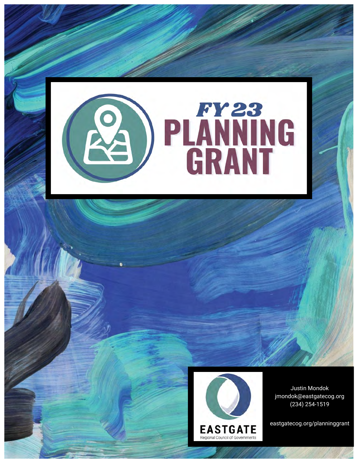



Justin Mondok jmondok@eastgatecog.org (234) 254-1519

eastgatecog.org/planninggrant

W. Peter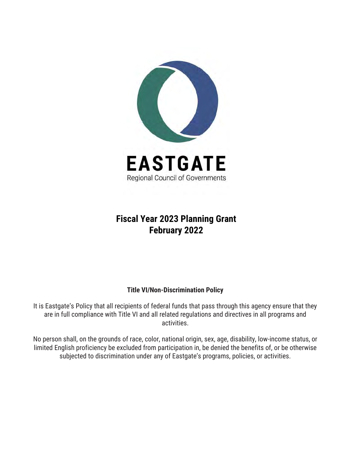

#### **Fiscal Year 2023 Planning Grant February 2022**

#### **Title VI/Non-Discrimination Policy**

It is Eastgate's Policy that all recipients of federal funds that pass through this agency ensure that they are in full compliance with Title VI and all related regulations and directives in all programs and activities.

No person shall, on the grounds of race, color, national origin, sex, age, disability, low-income status, or limited English proficiency be excluded from participation in, be denied the benefits of, or be otherwise subjected to discrimination under any of Eastgate's programs, policies, or activities.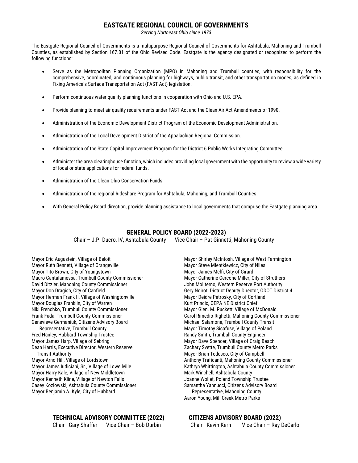#### **EASTGATE REGIONAL COUNCIL OF GOVERNMENTS**

*Serving Northeast Ohio since 1973*

The Eastgate Regional Council of Governments is a multipurpose Regional Council of Governments for Ashtabula, Mahoning and Trumbull Counties, as established by Section 167.01 of the Ohio Revised Code. Eastgate is the agency designated or recognized to perform the following functions:

- Serve as the Metropolitan Planning Organization (MPO) in Mahoning and Trumbull counties, with responsibility for the comprehensive, coordinated, and continuous planning for highways, public transit, and other transportation modes, as defined in Fixing America's Surface Transportation Act (FAST Act) legislation.
- Perform continuous water quality planning functions in cooperation with Ohio and U.S. EPA.
- Provide planning to meet air quality requirements under FAST Act and the Clean Air Act Amendments of 1990.
- Administration of the Economic Development District Program of the Economic Development Administration.
- Administration of the Local Development District of the Appalachian Regional Commission.
- Administration of the State Capital Improvement Program for the District 6 Public Works Integrating Committee.
- Administer the area clearinghouse function, which includes providing local government with the opportunity to review a wide variety of local or state applications for federal funds.
- Administration of the Clean Ohio Conservation Funds
- Administration of the regional Rideshare Program for Ashtabula, Mahoning, and Trumbull Counties.
- With General Policy Board direction, provide planning assistance to local governments that comprise the Eastgate planning area.

#### **GENERAL POLICY BOARD (2022-2023)**

Chair – J.P. Ducro, IV, Ashtabula County Vice Chair – Pat Ginnetti, Mahoning County

Mayor Eric Augustein, Village of Beloit Mayor Ruth Bennett, Village of Orangeville Mayor Tito Brown, City of Youngstown Mauro Cantalamessa, Trumbull County Commissioner David Ditzler, Mahoning County Commissioner Mayor Don Dragish, City of Canfield Mayor Herman Frank II, Village of Washingtonville Mayor Douglas Franklin, City of Warren Niki Frenchko, Trumbull County Commissioner Frank Fuda, Trumbull County Commissioner Genevieve Germaniuk, Citizens Advisory Board Representative, Trumbull County

Fred Hanley, Hubbard Township Trustee Mayor James Harp, Village of Sebring Dean Harris, Executive Director, Western Reserve Transit Authority Mayor Arno Hill, Village of Lordstown Mayor James Iudiciani, Sr., Village of Lowellville Mayor Harry Kale, Village of New Middletown

Mayor Kenneth Kline, Village of Newton Falls Casey Kozlowski, Ashtabula County Commissioner Mayor Benjamin A. Kyle, City of Hubbard

#### **TECHNICAL ADVISORY COMMITTEE (2022) CITIZENS ADVISORY BOARD (2022)**

Chair - Gary Shaffer Vice Chair – Bob Durbin

Mayor Shirley McIntosh, Village of West Farmington Mayor Steve Mientkiewicz, City of Niles Mayor James Melfi, City of Girard Mayor Catherine Cercone Miller, City of Struthers John Moliterno, Western Reserve Port Authority Gery Noirot, District Deputy Director, ODOT District 4 Mayor Deidre Petrosky, City of Cortland Kurt Princic, OEPA NE District Chief Mayor Glen. M. Puckett, Village of McDonald Carol Rimedio-Righetti, Mahoning County Commissioner Michael Salamone, Trumbull County Transit Mayor Timothy Sicafuse, Village of Poland Randy Smith, Trumbull County Engineer Mayor Dave Spencer, Village of Craig Beach Zachary Svette, Trumbull County Metro Parks Mayor Brian Tedesco, City of Campbell Anthony Traficanti, Mahoning County Commissioner Kathryn Whittington, Ashtabula County Commissioner Mark Winchell, Ashtabula County Joanne Wollet, Poland Township Trustee Samantha Yannucci, Citizens Advisory Board Representative, Mahoning County Aaron Young, Mill Creek Metro Parks

| Chair - Kevin Kern | Vice Chair - Ray DeCarlo |
|--------------------|--------------------------|
|--------------------|--------------------------|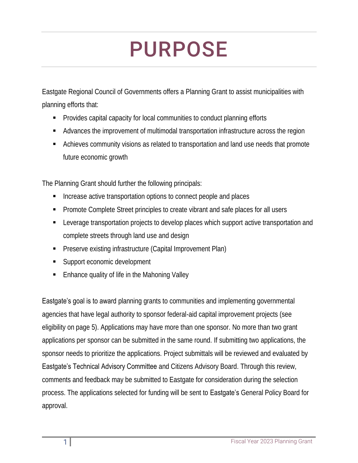# PURPOSE

Eastgate Regional Council of Governments offers a Planning Grant to assist municipalities with planning efforts that:

- Provides capital capacity for local communities to conduct planning efforts
- Advances the improvement of multimodal transportation infrastructure across the region
- Achieves community visions as related to transportation and land use needs that promote future economic growth

The Planning Grant should further the following principals:

- Increase active transportation options to connect people and places
- Promote Complete Street principles to create vibrant and safe places for all users
- Leverage transportation projects to develop places which support active transportation and complete streets through land use and design
- Preserve existing infrastructure (Capital Improvement Plan)
- Support economic development
- Enhance quality of life in the Mahoning Valley

**Eastgate's goal is to award** planning grants to communities and implementing governmental agencies that have legal authority to sponsor federal-aid capital improvement projects (see eligibility on page 5). Applications may have more than one sponsor. No more than two grant applications per sponsor can be submitted in the same round. If submitting two applications, the sponsor needs to prioritize the applications. Project submittals will be reviewed and evaluated by Eastgate's Technical Advisory Committee and Citizens Advisory Board. Through this review, comments and feedback may be submitted to Eastgate for consideration during the selection process. The applications selected for funding will be sent to **Eastgate's** General Policy Board for approval.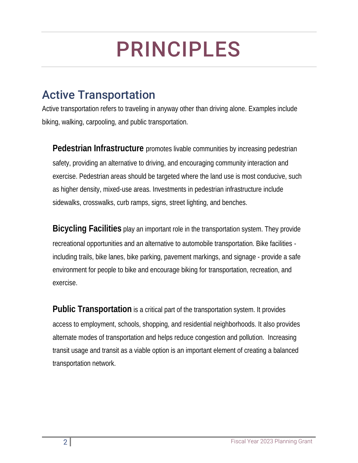# PRINCIPLES

### Active Transportation

Active transportation refers to traveling in anyway other than driving alone. Examples include biking, walking, carpooling, and public transportation.

**Pedestrian Infrastructure** promotes livable communities by increasing pedestrian safety, providing an alternative to driving, and encouraging community interaction and exercise. Pedestrian areas should be targeted where the land use is most conducive, such as higher density, mixed-use areas. Investments in pedestrian infrastructure include sidewalks, crosswalks, curb ramps, signs, street lighting, and benches.

**Bicycling Facilities** play an important role in the transportation system. They provide recreational opportunities and an alternative to automobile transportation. Bike facilities including trails, bike lanes, bike parking, pavement markings, and signage - provide a safe environment for people to bike and encourage biking for transportation, recreation, and exercise.

**Public Transportation** is a critical part of the transportation system. It provides access to employment, schools, shopping, and residential neighborhoods. It also provides alternate modes of transportation and helps reduce congestion and pollution. Increasing transit usage and transit as a viable option is an important element of creating a balanced transportation network.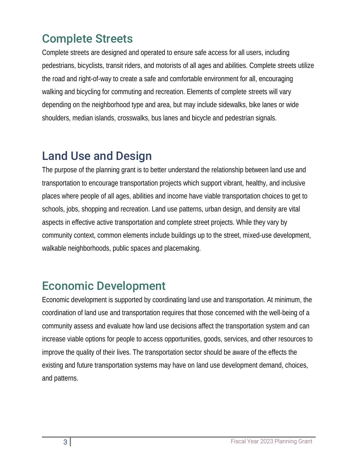## Complete Streets

Complete streets are designed and operated to ensure safe access for all users, including pedestrians, bicyclists, transit riders, and motorists of all ages and abilities. Complete streets utilize the road and right-of-way to create a safe and comfortable environment for all, encouraging walking and bicycling for commuting and recreation. Elements of complete streets will vary depending on the neighborhood type and area, but may include sidewalks, bike lanes or wide shoulders, median islands, crosswalks, bus lanes and bicycle and pedestrian signals.

### Land Use and Design

The purpose of the planning grant is to better understand the relationship between land use and transportation to encourage transportation projects which support vibrant, healthy, and inclusive places where people of all ages, abilities and income have viable transportation choices to get to schools, jobs, shopping and recreation. Land use patterns, urban design, and density are vital aspects in effective active transportation and complete street projects. While they vary by community context, common elements include buildings up to the street, mixed-use development, walkable neighborhoods, public spaces and placemaking.

### Economic Development

Economic development is supported by coordinating land use and transportation. At minimum, the coordination of land use and transportation requires that those concerned with the well-being of a community assess and evaluate how land use decisions affect the transportation system and can increase viable options for people to access opportunities, goods, services, and other resources to improve the quality of their lives. The transportation sector should be aware of the effects the existing and future transportation systems may have on land use development demand, choices, and patterns.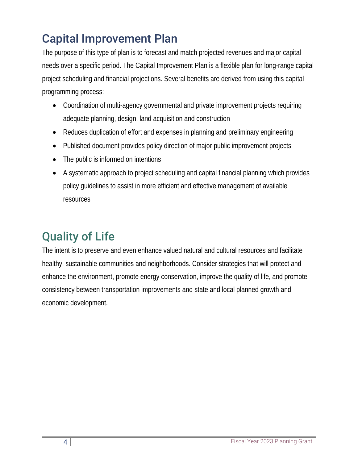# Capital Improvement Plan

The purpose of this type of plan is to forecast and match projected revenues and major capital needs over a specific period. The Capital Improvement Plan is a flexible plan for long-range capital project scheduling and financial projections. Several benefits are derived from using this capital programming process:

- Coordination of multi-agency governmental and private improvement projects requiring adequate planning, design, land acquisition and construction
- Reduces duplication of effort and expenses in planning and preliminary engineering
- Published document provides policy direction of major public improvement projects
- The public is informed on intentions
- A systematic approach to project scheduling and capital financial planning which provides policy guidelines to assist in more efficient and effective management of available resources

# Quality of Life

The intent is to preserve and even enhance valued natural and cultural resources and facilitate healthy, sustainable communities and neighborhoods. Consider strategies that will protect and enhance the environment, promote energy conservation, improve the quality of life, and promote consistency between transportation improvements and state and local planned growth and economic development.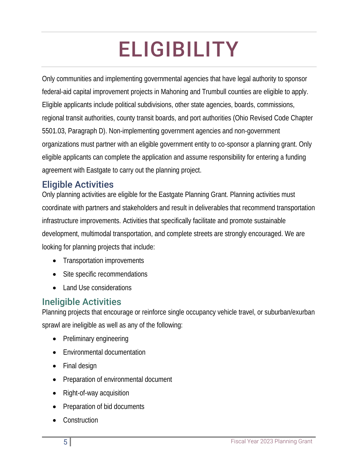# ELIGIBILITY

Only communities and implementing governmental agencies that have legal authority to sponsor federal-aid capital improvement projects in Mahoning and Trumbull counties are eligible to apply. Eligible applicants include political subdivisions, other state agencies, boards, commissions, regional transit authorities, county transit boards, and port authorities (Ohio Revised Code Chapter 5501.03, Paragraph D). Non-implementing government agencies and non-government organizations must partner with an eligible government entity to co-sponsor a planning grant. Only eligible applicants can complete the application and assume responsibility for entering a funding agreement with Eastgate to carry out the planning project.

### Eligible Activities

Only planning activities are eligible for the Eastgate Planning Grant. Planning activities must coordinate with partners and stakeholders and result in deliverables that recommend transportation infrastructure improvements. Activities that specifically facilitate and promote sustainable development, multimodal transportation, and complete streets are strongly encouraged. We are looking for planning projects that include:

- Transportation improvements
- Site specific recommendations
- Land Use considerations

#### Ineligible Activities

Planning projects that encourage or reinforce single occupancy vehicle travel, or suburban/exurban sprawl are ineligible as well as any of the following:

- Preliminary engineering
- Environmental documentation
- Final design
- Preparation of environmental document
- Right-of-way acquisition
- Preparation of bid documents
- Construction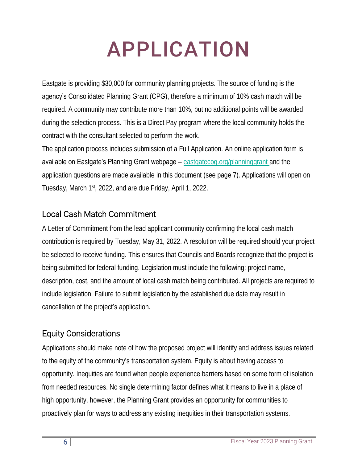# APPLICATION

Eastgate is providing \$30,000 for community planning projects. The source of funding is the agency's Consolidated Planning Grant (CPG), therefore a minimum of 10% cash match will be required. A community may contribute more than 10%, but no additional points will be awarded during the selection process. This is a Direct Pay program where the local community holds the contract with the consultant selected to perform the work.

The application process includes submission of a Full Application. An online application form is available on Eastgate's Planning Grant webpage – [eastgatecog.org/planninggrant](http://eastgatecog.org/planninggrant) and the application questions are made available in this document (see page 7). Applications will open on Tuesday, March 1st, 2022, and are due Friday, April 1, 2022.

#### Local Cash Match Commitment

A Letter of Commitment from the lead applicant community confirming the local cash match contribution is required by Tuesday, May 31, 2022. A resolution will be required should your project be selected to receive funding. This ensures that Councils and Boards recognize that the project is being submitted for federal funding. Legislation must include the following: project name, description, cost, and the amount of local cash match being contributed. All projects are required to include legislation. Failure to submit legislation by the established due date may result in cancellation of the project's application.

#### Equity Considerations

Applications should make note of how the proposed project will identify and address issues related to the equity of the community's transportation system. Equity is about having access to opportunity. Inequities are found when people experience barriers based on some form of isolation from needed resources. No single determining factor defines what it means to live in a place of high opportunity, however, the Planning Grant provides an opportunity for communities to proactively plan for ways to address any existing inequities in their transportation systems.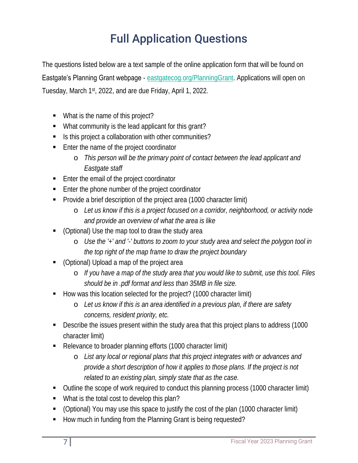# Full Application Questions

The questions listed below are a text sample of the online application form that will be found on Eastgate's Planning Grant webpage - [eastgatecog.org/PlanningGrant.](https://eastgatecog.org/regional-planning/planning-grant) Applications will open on Tuesday, March 1<sup>st</sup>, 2022, and are due Friday, April 1, 2022.

- What is the name of this project?
- What community is the lead applicant for this grant?
- **EXECT** Is this project a collaboration with other communities?
- Enter the name of the project coordinator
	- o *This person will be the primary point of contact between the lead applicant and Eastgate staff*
- Enter the email of the project coordinator
- Enter the phone number of the project coordinator
- Provide a brief description of the project area (1000 character limit)
	- o *Let us know if this is a project focused on a corridor, neighborhood, or activity node and provide an overview of what the area is like*
- (Optional) Use the map tool to draw the study area
	- o *Use the '+' and '-' buttons to zoom to your study area and select the polygon tool in the top right of the map frame to draw the project boundary*
- (Optional) Upload a map of the project area
	- o *If you have a map of the study area that you would like to submit, use this tool. Files should be in .pdf format and less than 35MB in file size.*
- How was this location selected for the project? (1000 character limit)
	- o *Let us know if this is an area identified in a previous plan, if there are safety concerns, resident priority, etc.*
- Describe the issues present within the study area that this project plans to address (1000 character limit)
- Relevance to broader planning efforts (1000 character limit)
	- o *List any local or regional plans that this project integrates with or advances and provide a short description of how it applies to those plans. If the project is not related to an existing plan, simply state that as the case.*
- Outline the scope of work required to conduct this planning process (1000 character limit)
- What is the total cost to develop this plan?
- (Optional) You may use this space to justify the cost of the plan (1000 character limit)
- How much in funding from the Planning Grant is being requested?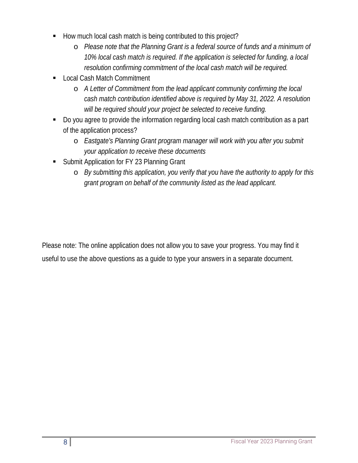- How much local cash match is being contributed to this project?
	- o *Please note that the Planning Grant is a federal source of funds and a minimum of 10% local cash match is required. If the application is selected for funding, a local resolution confirming commitment of the local cash match will be required.*
- Local Cash Match Commitment
	- o *A Letter of Commitment from the lead applicant community confirming the local cash match contribution identified above is required by May 31, 2022. A resolution will be required should your project be selected to receive funding.*
- Do you agree to provide the information regarding local cash match contribution as a part of the application process?
	- o *Eastgate's Planning Grant program manager will work with you after you submit your application to receive these documents*
- **Submit Application for FY 23 Planning Grant** 
	- o *By submitting this application, you verify that you have the authority to apply for this grant program on behalf of the community listed as the lead applicant.*

Please note: The online application does not allow you to save your progress. You may find it useful to use the above questions as a guide to type your answers in a separate document.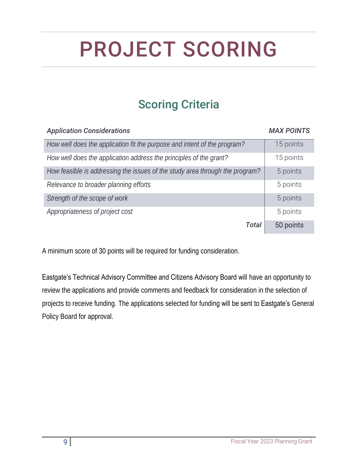# PROJECT SCORING

## Scoring Criteria

### *Application Considerations MAX POINTS How well does the application fit the purpose and intent of the program?* 15 points *How well does the application address the principles of the grant?* 15 points *How feasible is addressing the issues of the study area through the program?* | 5 points Relevance to broader planning efforts **5 points** 5 points **Strength of the scope of work** 5 points 5 points Appropriateness of project cost 5 points *Total* 50 points

A minimum score of 30 points will be required for funding consideration.

Eastgate's Technical Advisory Committee and Citizens Advisory Board will have an opportunity to review the applications and provide comments and feedback for consideration in the selection of projects to receive funding. The applications selected for funding will be sent to Eastgate's General Policy Board for approval.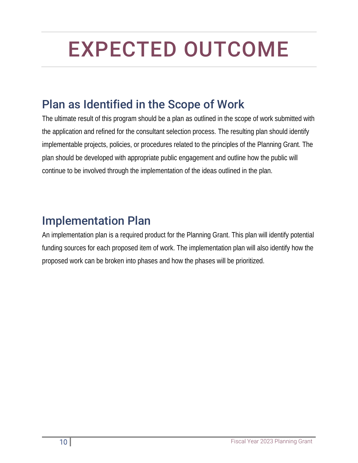# EXPECTED OUTCOME

## Plan as Identified in the Scope of Work

The ultimate result of this program should be a plan as outlined in the scope of work submitted with the application and refined for the consultant selection process. The resulting plan should identify implementable projects, policies, or procedures related to the principles of the Planning Grant. The plan should be developed with appropriate public engagement and outline how the public will continue to be involved through the implementation of the ideas outlined in the plan.

### Implementation Plan

An implementation plan is a required product for the Planning Grant. This plan will identify potential funding sources for each proposed item of work. The implementation plan will also identify how the proposed work can be broken into phases and how the phases will be prioritized.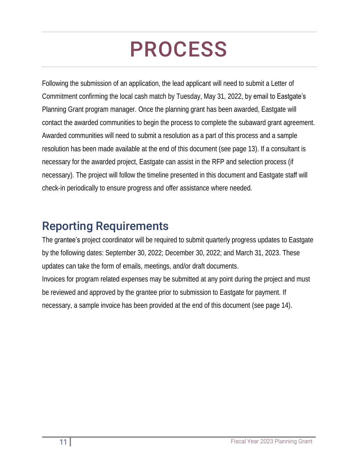# PROCESS

Following the submission of an application, the lead applicant will need to submit a Letter of Commitment confirming the local cash match by Tuesday, May 31, 2022, by email to Eastgate's Planning Grant program manager. Once the planning grant has been awarded, Eastgate will contact the awarded communities to begin the process to complete the subaward grant agreement. Awarded communities will need to submit a resolution as a part of this process and a sample resolution has been made available at the end of this document (see page 13). If a consultant is necessary for the awarded project, Eastgate can assist in the RFP and selection process (if necessary). The project will follow the timeline presented in this document and Eastgate staff will check-in periodically to ensure progress and offer assistance where needed.

### Reporting Requirements

The grantee's project coordinator will be required to submit quarterly progress updates to Eastgate by the following dates: September 30, 2022; December 30, 2022; and March 31, 2023. These updates can take the form of emails, meetings, and/or draft documents. Invoices for program related expenses may be submitted at any point during the project and must be reviewed and approved by the grantee prior to submission to Eastgate for payment. If necessary, a sample invoice has been provided at the end of this document (see page 14).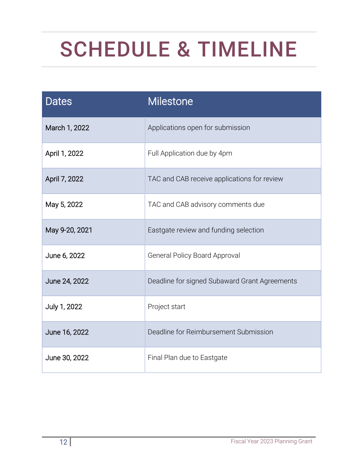# SCHEDULE & TIMELINE

| <b>Dates</b>   | <b>Milestone</b>                              |  |
|----------------|-----------------------------------------------|--|
| March 1, 2022  | Applications open for submission              |  |
| April 1, 2022  | Full Application due by 4pm                   |  |
| April 7, 2022  | TAC and CAB receive applications for review   |  |
| May 5, 2022    | TAC and CAB advisory comments due             |  |
| May 9-20, 2021 | Eastgate review and funding selection         |  |
| June 6, 2022   | <b>General Policy Board Approval</b>          |  |
| June 24, 2022  | Deadline for signed Subaward Grant Agreements |  |
| July 1, 2022   | Project start                                 |  |
| June 16, 2022  | Deadline for Reimbursement Submission         |  |
| June 30, 2022  | Final Plan due to Eastgate                    |  |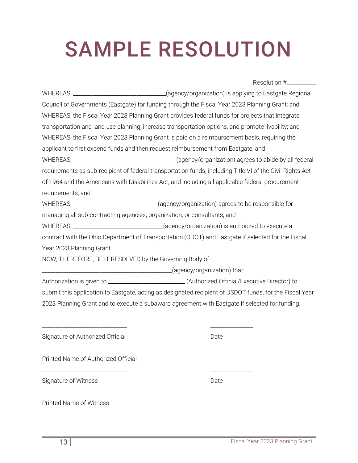#### WHEREAS, the Fiscal Year 2023 Planning Grant provides federal funds for projects that integrate transportation and land use planning, increase transportation options, and promote livability; and

WHEREAS, the Fiscal Year 2023 Planning Grant is paid on a reimbursement basis, requiring the

Council of Governments (Eastgate) for funding through the Fiscal Year 2023 Planning Grant; and

applicant to first expend funds and then request reimbursement from Eastgate; and

WHEREAS, \_\_\_\_\_\_\_\_\_\_\_\_\_\_\_\_\_\_\_\_\_\_\_\_\_\_\_\_\_\_\_\_\_\_\_\_\_\_\_(agency/organization) agrees to abide by all federal requirements as sub-recipient of federal transportation funds, including Title VI of the Civil Rights Act of 1964 and the Americans with Disabilities Act, and including all applicable federal procurement requirements; and

SAMPLE RESOLUTION

WHEREAS, \_\_\_\_\_\_\_\_\_\_\_\_\_\_\_\_\_\_\_\_\_\_\_\_\_\_\_\_\_\_\_\_(agency/organization) is applying to Eastgate Regional

WHEREAS, \_\_\_\_\_\_\_\_\_\_\_\_\_\_\_\_\_\_\_\_\_\_\_\_\_\_\_\_\_\_\_(agency/organization) agrees to be responsible for

managing all sub-contracting agencies, organization, or consultants; and

\_\_\_\_\_\_\_\_\_\_\_\_\_\_\_\_\_\_\_\_\_\_\_\_\_\_\_\_\_\_\_\_ \_\_\_\_\_\_\_\_\_\_\_\_\_\_\_\_

WHEREAS, \_\_\_\_\_\_\_\_\_\_\_\_\_\_\_\_\_\_\_\_\_\_\_\_\_\_\_\_\_\_\_\_\_(agency/organization) is authorized to execute a

contract with the Ohio Department of Transportation (ODOT) and Eastgate if selected for the Fiscal Year 2023 Planning Grant.

NOW, THEREFORE, BE IT RESOLVED by the Governing Body of

\_\_\_\_\_\_\_\_\_\_\_\_\_\_\_\_\_\_\_\_\_\_\_\_\_\_\_\_\_\_\_\_\_\_\_\_\_\_\_\_\_\_\_\_\_\_\_\_\_(agency/organization) that:

Authorization is given to \_\_\_\_\_\_\_\_\_\_\_\_\_\_\_\_\_\_\_\_\_\_\_\_\_\_\_\_\_ (Authorized Official/Executive Director) to

submit this application to Eastgate, acting as designated recipient of USDOT funds, for the Fiscal Year

2023 Planning Grant and to execute a subaward agreement with Eastgate if selected for funding.

Signature of Authorized Official Date Date

\_\_\_\_\_\_\_\_\_\_\_\_\_\_\_\_\_\_\_\_\_\_\_\_\_\_\_\_\_\_\_\_

\_\_\_\_\_\_\_\_\_\_\_\_\_\_\_\_\_\_\_\_\_\_\_\_\_\_\_\_\_\_\_\_

Printed Name of Authorized Official

Signature of Witness Date Date Number of Witness Date Date

Printed Name of Witness

Resolution #\_\_\_\_\_\_\_\_\_\_\_

\_\_\_\_\_\_\_\_\_\_\_\_\_\_\_\_\_\_\_\_\_\_\_\_\_\_\_\_\_\_\_\_ \_\_\_\_\_\_\_\_\_\_\_\_\_\_\_\_